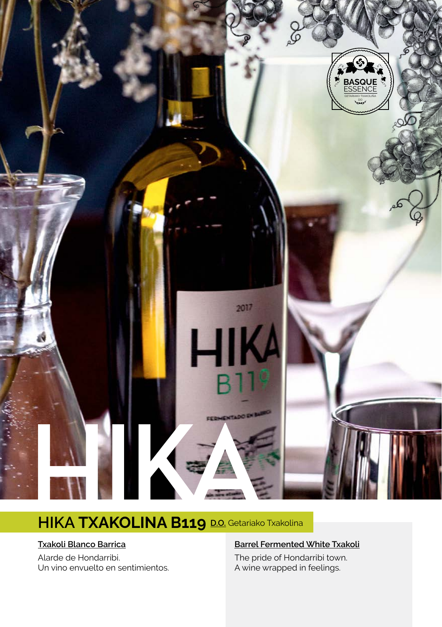

# **HIKA TXAKOLINA B119 D.O.** Getariako Txakolina

#### **Txakoli Blanco Barrica**

Alarde de Hondarribi. Un vino envuelto en sentimientos.

#### **Barrel Fermented White Txakoli**

The pride of Hondarribi town. A wine wrapped in feelings.